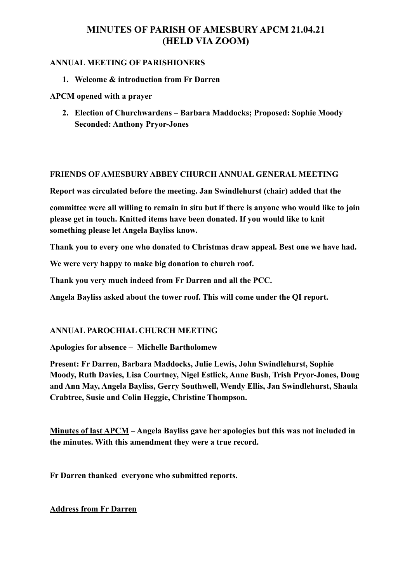# **MINUTES OF PARISH OF AMESBURY APCM 21.04.21 (HELD VIA ZOOM)**

#### **ANNUAL MEETING OF PARISHIONERS**

**1. Welcome & introduction from Fr Darren** 

**APCM opened with a prayer** 

**2. Election of Churchwardens – Barbara Maddocks; Proposed: Sophie Moody Seconded: Anthony Pryor-Jones** 

#### **FRIENDS OF AMESBURY ABBEY CHURCH ANNUAL GENERAL MEETING**

**Report was circulated before the meeting. Jan Swindlehurst (chair) added that the** 

**committee were all willing to remain in situ but if there is anyone who would like to join please get in touch. Knitted items have been donated. If you would like to knit something please let Angela Bayliss know.** 

**Thank you to every one who donated to Christmas draw appeal. Best one we have had.** 

**We were very happy to make big donation to church roof.** 

**Thank you very much indeed from Fr Darren and all the PCC.** 

**Angela Bayliss asked about the tower roof. This will come under the QI report.** 

### **ANNUAL PAROCHIAL CHURCH MEETING**

**Apologies for absence – Michelle Bartholomew** 

**Present: Fr Darren, Barbara Maddocks, Julie Lewis, John Swindlehurst, Sophie Moody, Ruth Davies, Lisa Courtney, Nigel Estlick, Anne Bush, Trish Pryor-Jones, Doug and Ann May, Angela Bayliss, Gerry Southwell, Wendy Ellis, Jan Swindlehurst, Shaula Crabtree, Susie and Colin Heggie, Christine Thompson.** 

**Minutes of last APCM – Angela Bayliss gave her apologies but this was not included in the minutes. With this amendment they were a true record.** 

**Fr Darren thanked everyone who submitted reports.** 

**Address from Fr Darren**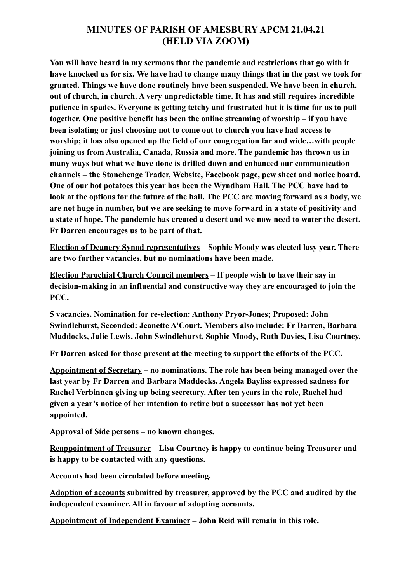### **MINUTES OF PARISH OF AMESBURY APCM 21.04.21 (HELD VIA ZOOM)**

**You will have heard in my sermons that the pandemic and restrictions that go with it have knocked us for six. We have had to change many things that in the past we took for granted. Things we have done routinely have been suspended. We have been in church, out of church, in church. A very unpredictable time. It has and still requires incredible patience in spades. Everyone is getting tetchy and frustrated but it is time for us to pull together. One positive benefit has been the online streaming of worship – if you have been isolating or just choosing not to come out to church you have had access to worship; it has also opened up the field of our congregation far and wide…with people joining us from Australia, Canada, Russia and more. The pandemic has thrown us in many ways but what we have done is drilled down and enhanced our communication channels – the Stonehenge Trader, Website, Facebook page, pew sheet and notice board. One of our hot potatoes this year has been the Wyndham Hall. The PCC have had to look at the options for the future of the hall. The PCC are moving forward as a body, we are not huge in number, but we are seeking to move forward in a state of positivity and a state of hope. The pandemic has created a desert and we now need to water the desert. Fr Darren encourages us to be part of that.** 

**Election of Deanery Synod representatives – Sophie Moody was elected lasy year. There are two further vacancies, but no nominations have been made.** 

**Election Parochial Church Council members – If people wish to have their say in decision-making in an influential and constructive way they are encouraged to join the PCC.** 

**5 vacancies. Nomination for re-election: Anthony Pryor-Jones; Proposed: John Swindlehurst, Seconded: Jeanette A'Court. Members also include: Fr Darren, Barbara Maddocks, Julie Lewis, John Swindlehurst, Sophie Moody, Ruth Davies, Lisa Courtney.** 

**Fr Darren asked for those present at the meeting to support the efforts of the PCC.** 

**Appointment of Secretary – no nominations. The role has been being managed over the last year by Fr Darren and Barbara Maddocks. Angela Bayliss expressed sadness for Rachel Verbinnen giving up being secretary. After ten years in the role, Rachel had given a year's notice of her intention to retire but a successor has not yet been appointed.** 

**Approval of Side persons – no known changes.** 

**Reappointment of Treasurer – Lisa Courtney is happy to continue being Treasurer and is happy to be contacted with any questions.** 

**Accounts had been circulated before meeting.** 

**Adoption of accounts submitted by treasurer, approved by the PCC and audited by the independent examiner. All in favour of adopting accounts.** 

**Appointment of Independent Examiner – John Reid will remain in this role.**